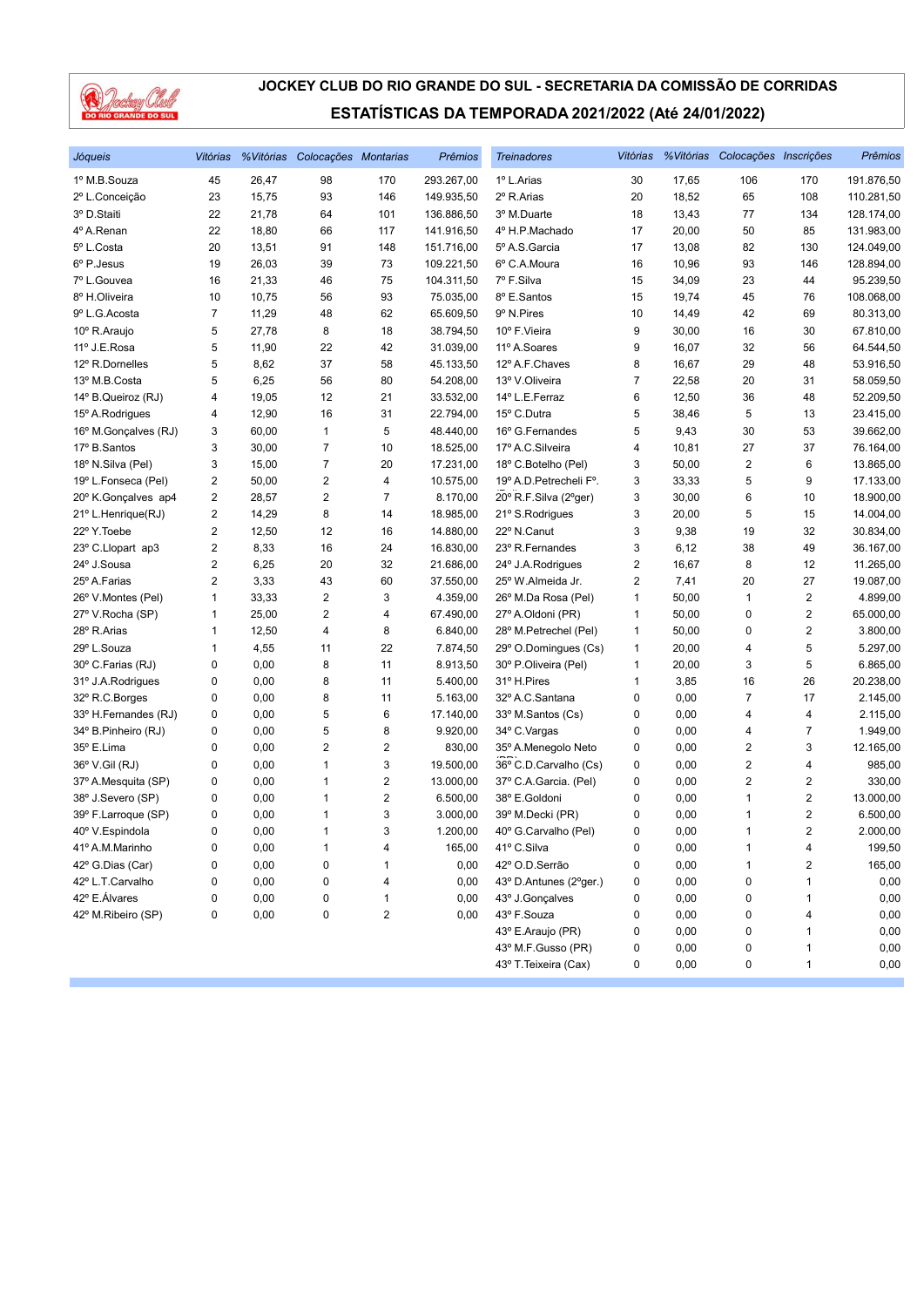

| Jóqueis              | Vitórias |       | % Vitórias Colocações Montarias |     | <b>Prêmios</b> | <b>Treinadores</b>      | Vitórias                |       | %Vitórias Colocações Inscrições |                         | Prêmios    |
|----------------------|----------|-------|---------------------------------|-----|----------------|-------------------------|-------------------------|-------|---------------------------------|-------------------------|------------|
| 1º M.B.Souza         | 45       | 26,47 | 98                              | 170 | 293.267,00     | 1º L.Arias              | 30                      | 17,65 | 106                             | 170                     | 191.876,50 |
| 2º L.Conceição       | 23       | 15,75 | 93                              | 146 | 149.935,50     | 2º R.Arias              | 20                      | 18,52 | 65                              | 108                     | 110.281,50 |
| 3º D.Staiti          | 22       | 21,78 | 64                              | 101 | 136.886,50     | 3º M.Duarte             | 18                      | 13,43 | 77                              | 134                     | 128.174,00 |
| 4º A.Renan           | 22       | 18,80 | 66                              | 117 | 141.916,50     | 4º H.P.Machado          | 17                      | 20,00 | 50                              | 85                      | 131.983,00 |
| 5º L.Costa           | 20       | 13,51 | 91                              | 148 | 151.716,00     | 5º A.S. Garcia          | 17                      | 13,08 | 82                              | 130                     | 124.049,00 |
| 6º P.Jesus           | 19       | 26,03 | 39                              | 73  | 109.221,50     | 6° C.A.Moura            | 16                      | 10,96 | 93                              | 146                     | 128.894,00 |
| 7º L.Gouvea          | 16       | 21,33 | 46                              | 75  | 104.311,50     | 7º F.Silva              | 15                      | 34,09 | 23                              | 44                      | 95.239,50  |
| 8º H.Oliveira        | 10       | 10,75 | 56                              | 93  | 75.035,00      | 8º E.Santos             | 15                      | 19,74 | 45                              | 76                      | 108.068,00 |
| 9º L.G. Acosta       | 7        | 11,29 | 48                              | 62  | 65.609,50      | 9º N.Pires              | 10                      | 14,49 | 42                              | 69                      | 80.313,00  |
| 10° R.Araujo         | 5        | 27,78 | 8                               | 18  | 38.794,50      | 10° F.Vieira            | 9                       | 30,00 | 16                              | 30                      | 67.810,00  |
| 11º J.E.Rosa         | 5        | 11,90 | 22                              | 42  | 31.039,00      | 11º A.Soares            | 9                       | 16,07 | 32                              | 56                      | 64.544,50  |
| 12º R.Dornelles      | 5        | 8,62  | 37                              | 58  | 45.133,50      | 12º A.F.Chaves          | 8                       | 16,67 | 29                              | 48                      | 53.916,50  |
| 13º M.B.Costa        | 5        | 6,25  | 56                              | 80  | 54.208,00      | 13º V.Oliveira          | 7                       | 22,58 | 20                              | 31                      | 58.059,50  |
| 14° B.Queiroz (RJ)   | 4        | 19,05 | 12                              | 21  | 33.532,00      | 14º L.E.Ferraz          | 6                       | 12,50 | 36                              | 48                      | 52.209,50  |
| 15° A.Rodrigues      | 4        | 12,90 | 16                              | 31  | 22.794,00      | 15° C.Dutra             | 5                       | 38,46 | 5                               | 13                      | 23.415,00  |
| 16° M.Gonçalves (RJ) | 3        | 60,00 | $\mathbf{1}$                    | 5   | 48.440,00      | 16° G.Fernandes         | 5                       | 9,43  | 30                              | 53                      | 39.662,00  |
| 17º B.Santos         | 3        | 30,00 | $\overline{7}$                  | 10  | 18.525,00      | 17º A.C.Silveira        | 4                       | 10,81 | 27                              | 37                      | 76.164,00  |
| 18º N.Silva (Pel)    | 3        | 15,00 | $\overline{7}$                  | 20  | 17.231,00      | 18° C.Botelho (Pel)     | 3                       | 50,00 | $\overline{\mathbf{c}}$         | 6                       | 13.865,00  |
| 19º L.Fonseca (Pel)  | 2        | 50,00 | $\sqrt{2}$                      | 4   | 10.575,00      | 19º A.D. Petrecheli Fº. | 3                       | 33,33 | 5                               | 9                       | 17.133,00  |
| 20° K.Gonçalves ap4  | 2        | 28,57 | 2                               | 7   | 8.170,00       | 20° R.F.Silva (2°ger)   | 3                       | 30,00 | 6                               | 10                      | 18.900,00  |
| 21º L.Henrique(RJ)   | 2        | 14,29 | 8                               | 14  | 18.985,00      | 21º S.Rodrigues         | 3                       | 20,00 | 5                               | 15                      | 14.004,00  |
| 22º Y.Toebe          | 2        | 12,50 | 12                              | 16  | 14.880,00      | 22° N.Canut             | 3                       | 9,38  | 19                              | 32                      | 30.834,00  |
| 23° C.Llopart ap3    | 2        | 8,33  | 16                              | 24  | 16.830,00      | 23º R.Fernandes         | 3                       | 6,12  | 38                              | 49                      | 36.167,00  |
| 24° J.Sousa          | 2        | 6,25  | 20                              | 32  | 21.686,00      | 24° J.A.Rodrigues       | $\overline{\mathbf{c}}$ | 16,67 | 8                               | 12                      | 11.265,00  |
| 25° A.Farias         | 2        | 3,33  | 43                              | 60  | 37.550,00      | 25° W.Almeida Jr.       | 2                       | 7,41  | 20                              | 27                      | 19.087,00  |
| 26° V.Montes (Pel)   | 1        | 33,33 | $\overline{c}$                  | 3   | 4.359,00       | 26° M.Da Rosa (Pel)     | 1                       | 50,00 | $\mathbf{1}$                    | $\sqrt{2}$              | 4.899,00   |
| 27º V.Rocha (SP)     | 1        | 25,00 | $\overline{\mathbf{c}}$         | 4   | 67.490,00      | 27º A.Oldoni (PR)       | 1                       | 50,00 | 0                               | $\overline{\mathbf{c}}$ | 65.000,00  |
| 28° R.Arias          | 1        | 12,50 | 4                               | 8   | 6.840,00       | 28° M.Petrechel (Pel)   | 1                       | 50,00 | 0                               | $\overline{2}$          | 3.800,00   |
| 29° L.Souza          | 1        | 4,55  | 11                              | 22  | 7.874,50       | 29° O.Domingues (Cs)    | 1                       | 20,00 | 4                               | 5                       | 5.297,00   |
| 30° C.Farias (RJ)    | 0        | 0,00  | 8                               | 11  | 8.913,50       | 30° P.Oliveira (Pel)    | 1                       | 20,00 | 3                               | 5                       | 6.865,00   |
| 31º J.A.Rodrigues    | 0        | 0,00  | 8                               | 11  | 5.400,00       | 31º H.Pires             | 1                       | 3,85  | 16                              | 26                      | 20.238,00  |
| 32° R.C.Borges       | 0        | 0,00  | 8                               | 11  | 5.163,00       | 32º A.C.Santana         | 0                       | 0,00  | $\overline{7}$                  | 17                      | 2.145,00   |
| 33º H.Fernandes (RJ) | 0        | 0,00  | 5                               | 6   | 17.140,00      | 33º M.Santos (Cs)       | 0                       | 0,00  | 4                               | 4                       | 2.115,00   |
| 34° B.Pinheiro (RJ)  | 0        | 0,00  | 5                               | 8   | 9.920,00       | 34° C.Vargas            | 0                       | 0,00  | 4                               | $\overline{7}$          | 1.949,00   |
| 35° E.Lima           | 0        | 0,00  | $\overline{2}$                  | 2   | 830,00         | 35° A.Menegolo Neto     | 0                       | 0,00  | 2                               | 3                       | 12.165,00  |
| 36° V.Gil (RJ)       | 0        | 0,00  | $\mathbf{1}$                    | 3   | 19.500,00      | 36° C.D.Carvalho (Cs)   | 0                       | 0,00  | $\overline{\mathbf{c}}$         | 4                       | 985,00     |
| 37º A.Mesquita (SP)  | 0        | 0,00  | 1                               | 2   | 13.000,00      | 37º C.A.Garcia. (Pel)   | 0                       | 0,00  | $\overline{2}$                  | $\overline{2}$          | 330,00     |
| 38° J.Severo (SP)    | 0        | 0,00  | 1                               | 2   | 6.500,00       | 38° E.Goldoni           | 0                       | 0,00  | 1                               | 2                       | 13.000,00  |
| 39° F.Larroque (SP)  | 0        | 0,00  | $\mathbf{1}$                    | 3   | 3.000,00       | 39° M.Decki (PR)        | 0                       | 0,00  | 1                               | 2                       | 6.500,00   |
| 40° V.Espindola      | 0        | 0,00  | $\mathbf{1}$                    | 3   | 1.200,00       | 40° G.Carvalho (Pel)    | 0                       | 0,00  | 1                               | $\overline{2}$          | 2.000,00   |
| 41º A.M.Marinho      | 0        | 0,00  | 1                               | 4   | 165,00         | 41º C.Silva             | 0                       | 0,00  | 1                               | 4                       | 199,50     |
| 42° G.Dias (Car)     | 0        | 0,00  | 0                               | 1   | 0,00           | 42º O.D.Serrão          | 0                       | 0,00  | 1                               | 2                       | 165,00     |
| 42º L.T.Carvalho     | 0        | 0,00  | 0                               | 4   | 0,00           | 43º D.Antunes (2°ger.)  | 0                       | 0,00  | 0                               | 1                       | 0,00       |
| 42º E.Álvares        | 0        | 0,00  | 0                               | 1   | 0,00           | 43º J.Gonçalves         | 0                       | 0,00  | 0                               | 1                       | 0,00       |
| 42º M.Ribeiro (SP)   | 0        | 0,00  | $\pmb{0}$                       | 2   | 0,00           | 43º F.Souza             | 0                       | 0,00  | 0                               | 4                       | 0,00       |
|                      |          |       |                                 |     |                | 43° E.Araujo (PR)       | 0                       | 0,00  | 0                               | 1                       | 0,00       |
|                      |          |       |                                 |     |                | 43º M.F.Gusso (PR)      | 0                       | 0,00  | 0                               | $\mathbf{1}$            | 0,00       |
|                      |          |       |                                 |     |                | 43° T. Teixeira (Cax)   | 0                       | 0,00  | 0                               | 1                       | 0,00       |
|                      |          |       |                                 |     |                |                         |                         |       |                                 |                         |            |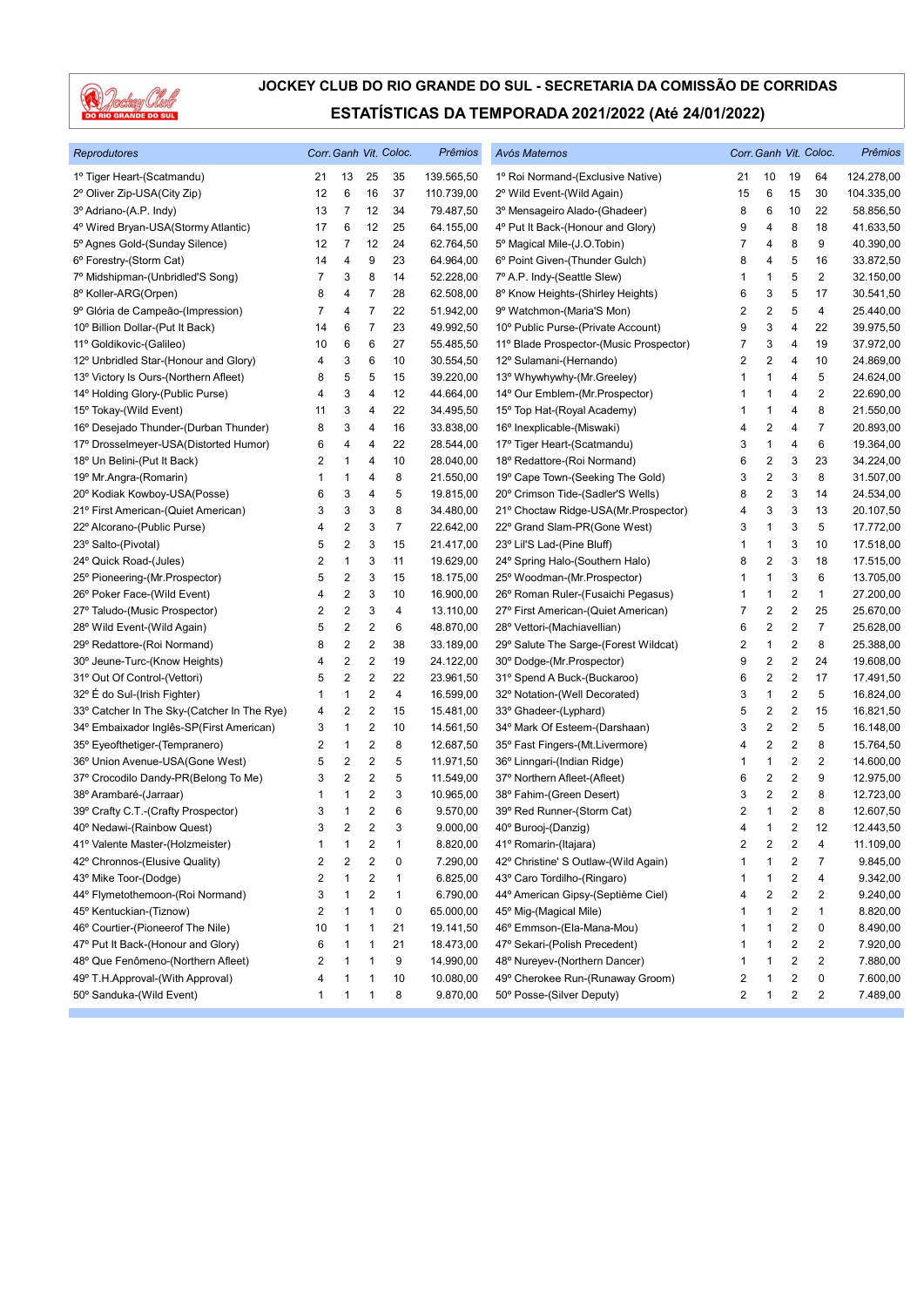

| Reprodutores                                |                         |                         |                         | Corr. Ganh Vit. Coloc. | Prêmios    | Avós Maternos                           |    |                         |                         | Corr. Ganh Vit. Coloc.  | Prêmios    |
|---------------------------------------------|-------------------------|-------------------------|-------------------------|------------------------|------------|-----------------------------------------|----|-------------------------|-------------------------|-------------------------|------------|
| 1º Tiger Heart-(Scatmandu)                  | 21                      | 13                      | 25                      | 35                     | 139.565,50 | 1º Roi Normand-(Exclusive Native)       | 21 | 10                      | 19                      | 64                      | 124.278,00 |
| 2º Oliver Zip-USA(City Zip)                 | 12                      | 6                       | 16                      | 37                     | 110.739,00 | 2º Wild Event-(Wild Again)              | 15 | 6                       | 15                      | 30                      | 104.335,00 |
| 3º Adriano-(A.P. Indy)                      | 13                      | $\overline{7}$          | 12                      | 34                     | 79.487,50  | 3º Mensageiro Alado-(Ghadeer)           | 8  | 6                       | 10                      | 22                      | 58.856,50  |
| 4º Wired Bryan-USA(Stormy Atlantic)         | 17                      | 6                       | 12                      | 25                     | 64.155,00  | 4º Put It Back-(Honour and Glory)       | 9  | 4                       | 8                       | 18                      | 41.633,50  |
| 5º Agnes Gold-(Sunday Silence)              | 12                      | 7                       | 12                      | 24                     | 62.764,50  | 5° Magical Mile-(J.O.Tobin)             | 7  | 4                       | 8                       | 9                       | 40.390,00  |
| 6° Forestry-(Storm Cat)                     | 14                      | 4                       | 9                       | 23                     | 64.964,00  | 6° Point Given-(Thunder Gulch)          | 8  | 4                       | 5                       | 16                      | 33.872,50  |
| 7º Midshipman-(Unbridled'S Song)            | 7                       | 3                       | 8                       | 14                     | 52.228,00  | 7º A.P. Indy-(Seattle Slew)             | 1  | $\mathbf{1}$            | 5                       | $\overline{2}$          | 32.150,00  |
| 8º Koller-ARG(Orpen)                        | 8                       | 4                       | $\overline{7}$          | 28                     | 62.508,00  | 8º Know Heights-(Shirley Heights)       | 6  | 3                       | 5                       | 17                      | 30.541,50  |
| 9º Glória de Campeão-(Impression)           | 7                       | 4                       | $\overline{7}$          | 22                     | 51.942,00  | 9º Watchmon-(Maria'S Mon)               | 2  | $\overline{2}$          | 5                       | 4                       | 25.440,00  |
| 10° Billion Dollar-(Put It Back)            | 14                      | 6                       | 7                       | 23                     | 49.992,50  | 10° Public Purse-(Private Account)      | 9  | 3                       | 4                       | 22                      | 39.975,50  |
| 11º Goldikovic-(Galileo)                    | 10                      | 6                       | 6                       | 27                     | 55.485,50  | 11º Blade Prospector-(Music Prospector) | 7  | 3                       | 4                       | 19                      | 37.972,00  |
| 12º Unbridled Star-(Honour and Glory)       | 4                       | 3                       | 6                       | 10                     | 30.554,50  | 12º Sulamani-(Hernando)                 | 2  | $\overline{\mathbf{c}}$ | 4                       | 10                      | 24.869,00  |
| 13º Victory Is Ours-(Northern Afleet)       | 8                       | 5                       | 5                       | 15                     | 39.220,00  | 13° Whywhywhy-(Mr.Greeley)              | 1  | $\mathbf{1}$            | 4                       | 5                       | 24.624,00  |
| 14º Holding Glory-(Public Purse)            | 4                       | 3                       | 4                       | 12                     | 44.664,00  | 14° Our Emblem-(Mr.Prospector)          | 1  | $\mathbf{1}$            | 4                       | $\overline{\mathbf{c}}$ | 22.690,00  |
| 15° Tokay-(Wild Event)                      | 11                      | 3                       | 4                       | 22                     | 34.495,50  | 15° Top Hat-(Royal Academy)             | 1  | 1                       | 4                       | 8                       | 21.550,00  |
| 16° Desejado Thunder-(Durban Thunder)       | 8                       | 3                       | 4                       | 16                     | 33.838,00  | 16° Inexplicable-(Miswaki)              | 4  | $\overline{2}$          | 4                       | 7                       | 20.893,00  |
| 17º Drosselmeyer-USA(Distorted Humor)       | 6                       | 4                       | 4                       | 22                     | 28.544,00  | 17º Tiger Heart-(Scatmandu)             | 3  | $\mathbf{1}$            | 4                       | 6                       | 19.364,00  |
| 18° Un Belini-(Put It Back)                 | 2                       | 1                       | 4                       | 10                     | 28.040,00  | 18º Redattore-(Roi Normand)             | 6  | $\overline{\mathbf{c}}$ | 3                       | 23                      | 34.224,00  |
| 19º Mr.Angra-(Romarin)                      | 1                       | 1                       | 4                       | 8                      | 21.550,00  | 19° Cape Town-(Seeking The Gold)        | 3  | $\overline{2}$          | 3                       | 8                       | 31.507,00  |
| 20° Kodiak Kowboy-USA(Posse)                | 6                       | 3                       | 4                       | 5                      | 19.815,00  | 20° Crimson Tide-(Sadler'S Wells)       | 8  | $\overline{\mathbf{c}}$ | 3                       | 14                      | 24.534,00  |
| 21º First American-(Quiet American)         | 3                       | 3                       | 3                       | 8                      | 34.480,00  | 21° Choctaw Ridge-USA(Mr.Prospector)    | 4  | 3                       | 3                       | 13                      | 20.107,50  |
| 22º Alcorano-(Public Purse)                 | 4                       | 2                       | 3                       | $\overline{7}$         | 22.642,00  | 22° Grand Slam-PR(Gone West)            | 3  | $\mathbf{1}$            | 3                       | 5                       | 17.772,00  |
| 23° Salto-(Pivotal)                         | 5                       | 2                       | 3                       | 15                     | 21.417,00  | 23° Lil'S Lad-(Pine Bluff)              | 1  | $\mathbf{1}$            | 3                       | 10                      | 17.518,00  |
| 24° Quick Road-(Jules)                      | 2                       | 1                       | 3                       | 11                     | 19.629,00  | 24° Spring Halo-(Southern Halo)         | 8  | $\overline{2}$          | 3                       | 18                      | 17.515,00  |
| 25° Pioneering-(Mr.Prospector)              | 5                       | 2                       | 3                       | 15                     | 18.175,00  | 25° Woodman-(Mr.Prospector)             | 1  | 1                       | 3                       | 6                       | 13.705,00  |
| 26° Poker Face-(Wild Event)                 | 4                       | 2                       | 3                       | 10                     | 16.900,00  | 26° Roman Ruler-(Fusaichi Pegasus)      | 1  | $\mathbf{1}$            | $\overline{\mathbf{c}}$ | $\mathbf{1}$            | 27.200,00  |
| 27º Taludo-(Music Prospector)               | 2                       | $\sqrt{2}$              | 3                       | 4                      | 13.110,00  | 27º First American-(Quiet American)     | 7  | $\sqrt{2}$              | $\sqrt{2}$              | 25                      | 25.670,00  |
| 28° Wild Event-(Wild Again)                 | 5                       | 2                       | $\overline{\mathbf{c}}$ | 6                      | 48.870,00  | 28° Vettori-(Machiavellian)             | 6  | 2                       | $\overline{\mathbf{c}}$ | $\overline{7}$          | 25.628,00  |
| 29° Redattore-(Roi Normand)                 | 8                       | 2                       | 2                       | 38                     | 33.189,00  | 29° Salute The Sarge-(Forest Wildcat)   | 2  | $\mathbf{1}$            | $\overline{\mathbf{c}}$ | 8                       | 25.388,00  |
| 30° Jeune-Turc-(Know Heights)               | 4                       | 2                       | 2                       | 19                     | 24.122,00  | 30° Dodge-(Mr.Prospector)               | 9  | $\overline{\mathbf{c}}$ | $\overline{\mathbf{c}}$ | 24                      | 19.608,00  |
| 31º Out Of Control-(Vettori)                | 5                       | $\sqrt{2}$              | $\overline{2}$          | 22                     | 23.961,50  | 31° Spend A Buck-(Buckaroo)             | 6  | $\overline{2}$          | $\overline{2}$          | 17                      | 17.491,50  |
| 32° E do Sul-(Irish Fighter)                | 1                       | 1                       | $\overline{c}$          | 4                      | 16.599,00  | 32º Notation-(Well Decorated)           | 3  | $\mathbf{1}$            | $\sqrt{2}$              | 5                       | 16.824,00  |
| 33° Catcher In The Sky-(Catcher In The Rye) | 4                       | 2                       | $\sqrt{2}$              | 15                     | 15.481,00  | 33° Ghadeer-(Lyphard)                   | 5  | $\overline{2}$          | $\overline{\mathbf{c}}$ | 15                      | 16.821,50  |
| 34° Embaixador Inglês-SP(First American)    | 3                       | 1                       | 2                       | 10                     | 14.561,50  | 34° Mark Of Esteem-(Darshaan)           | 3  | $\overline{\mathbf{c}}$ | $\sqrt{2}$              | 5                       | 16.148,00  |
| 35° Eyeofthetiger-(Tempranero)              | 2                       | 1                       | 2                       | 8                      | 12.687,50  | 35° Fast Fingers-(Mt.Livermore)         | 4  | $\overline{\mathbf{c}}$ | $\overline{\mathbf{c}}$ | 8                       | 15.764,50  |
| 36° Union Avenue-USA(Gone West)             | 5                       | $\overline{\mathbf{c}}$ | $\sqrt{2}$              | 5                      | 11.971,50  | 36° Linngari-(Indian Ridge)             | 1  | $\mathbf{1}$            | $\overline{\mathbf{c}}$ | 2                       | 14.600,00  |
| 37º Crocodilo Dandy-PR(Belong To Me)        | 3                       | 2                       | $\overline{c}$          | 5                      | 11.549,00  | 37º Northern Afleet-(Afleet)            | 6  | $\overline{2}$          | $\overline{\mathbf{c}}$ | 9                       | 12.975,00  |
| 38º Arambaré-(Jarraar)                      | 1                       | 1                       | 2                       | 3                      | 10.965,00  | 38° Fahim-(Green Desert)                | 3  | $\overline{2}$          | $\overline{2}$          | 8                       | 12.723,00  |
| 39° Crafty C.T.-(Crafty Prospector)         | 3                       | 1                       | $\overline{c}$          | 6                      | 9.570,00   | 39° Red Runner-(Storm Cat)              | 2  | 1                       | 2                       | 8                       | 12.607,50  |
| 40° Nedawi-(Rainbow Quest)                  | 3                       | 2                       | $\overline{2}$          | 3                      | 9.000,00   | 40° Burooj-(Danzig)                     | 4  | $\mathbf{1}$            | 2                       | 12                      | 12.443,50  |
| 41º Valente Master-(Holzmeister)            | 1                       | 1                       | 2                       | $\mathbf{1}$           | 8.820,00   | 41º Romarin-(Itajara)                   | 2  | $\overline{2}$          | $\overline{2}$          | 4                       | 11.109,00  |
| 42° Chronnos-(Elusive Quality)              | 2                       | 2                       | 2                       | 0                      | 7.290,00   | 42° Christine' S Outlaw-(Wild Again)    |    | 1                       | 2                       | 7                       | 9.845,00   |
| 43º Mike Toor-(Dodge)                       | 2                       | 1                       | 2                       | $\mathbf{1}$           | 6.825,00   | 43° Caro Tordilho-(Ringaro)             | 1  | $\mathbf{1}$            | 2                       | 4                       | 9.342,00   |
| 44º Flymetothemoon-(Roi Normand)            | 3                       | 1                       | 2                       | $\mathbf{1}$           | 6.790,00   | 44º American Gipsy-(Septième Ciel)      | 4  | $\overline{2}$          | 2                       | 2                       | 9.240,00   |
| 45° Kentuckian-(Tiznow)                     | $\overline{\mathbf{c}}$ | 1                       | 1                       | 0                      | 65.000,00  | 45° Mig-(Magical Mile)                  | 1  | $\mathbf{1}$            | $\overline{\mathbf{c}}$ | 1                       | 8.820,00   |
| 46° Courtier-(Pioneerof The Nile)           | 10                      | $\mathbf{1}$            | 1                       | 21                     | 19.141,50  | 46° Emmson-(Ela-Mana-Mou)               | 1  | $\mathbf{1}$            | $\sqrt{2}$              | 0                       | 8.490,00   |
| 47º Put It Back-(Honour and Glory)          | 6                       | 1                       | 1                       | 21                     | 18.473,00  | 47º Sekari-(Polish Precedent)           | 1  | $\mathbf{1}$            | $\overline{\mathbf{c}}$ | 2                       | 7.920,00   |
| 48° Que Fenômeno-(Northern Afleet)          | $\overline{\mathbf{c}}$ | 1                       | 1                       | 9                      | 14.990,00  | 48° Nureyev-(Northern Dancer)           | 1  | $\mathbf{1}$            | $\overline{\mathbf{c}}$ | $\overline{c}$          | 7.880,00   |
| 49° T.H.Approval-(With Approval)            | 4                       | 1                       | 1                       | 10                     | 10.080,00  | 49° Cherokee Run-(Runaway Groom)        | 2  | $\mathbf{1}$            | 2                       | 0                       | 7.600,00   |
| 50° Sanduka-(Wild Event)                    | $\mathbf{1}$            | 1                       | 1                       | 8                      | 9.870,00   | 50° Posse-(Silver Deputy)               | 2  | $\mathbf{1}$            | $\overline{c}$          | 2                       | 7.489,00   |
|                                             |                         |                         |                         |                        |            |                                         |    |                         |                         |                         |            |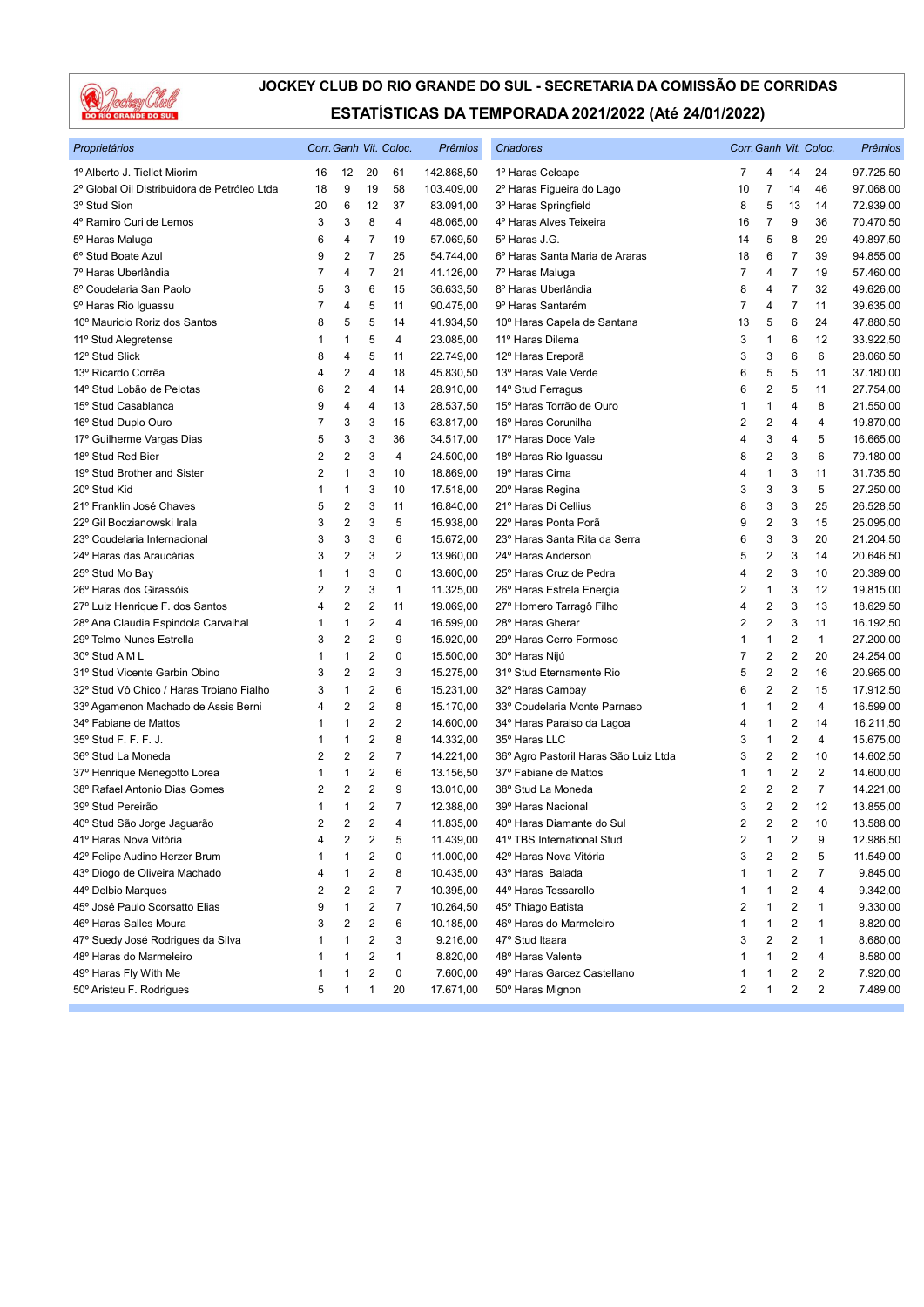

| Proprietários                                       |        |                |                         | Corr. Ganh Vit. Coloc. | Prêmios                | Criadores                             |                |                           |                         | Corr. Ganh Vit. Coloc. | Prêmios   |
|-----------------------------------------------------|--------|----------------|-------------------------|------------------------|------------------------|---------------------------------------|----------------|---------------------------|-------------------------|------------------------|-----------|
| 1º Alberto J. Tiellet Miorim                        | 16     | 12             | 20                      | 61                     | 142.868,50             | 1º Haras Celcape                      | 7              | 4                         | 14                      | 24                     | 97.725,50 |
| 2º Global Oil Distribuidora de Petróleo Ltda        | 18     | 9              | 19                      | 58                     | 103.409,00             | 2º Haras Figueira do Lago             | 10             | $\overline{7}$            | 14                      | 46                     | 97.068,00 |
| 3º Stud Sion                                        | 20     | 6              | 12                      | 37                     | 83.091,00              | 3º Haras Springfield                  | 8              | 5                         | 13                      | 14                     | 72.939,00 |
| 4º Ramiro Curi de Lemos                             | 3      | 3              | 8                       | 4                      | 48.065,00              | 4º Haras Alves Teixeira               | 16             | 7                         | 9                       | 36                     | 70.470,50 |
| 5º Haras Maluga                                     | 6      | 4              | 7                       | 19                     | 57.069,50              | 5° Haras J.G.                         | 14             | 5                         | 8                       | 29                     | 49.897,50 |
| 6° Stud Boate Azul                                  | 9      | $\overline{2}$ | $\overline{7}$          | 25                     | 54.744,00              | 6º Haras Santa Maria de Araras        | 18             | 6                         | $\overline{7}$          | 39                     | 94.855,00 |
| 7º Haras Uberlândia                                 | 7      | 4              | $\overline{7}$          | 21                     | 41.126,00              | 7º Haras Maluga                       | 7              | 4                         | $\overline{7}$          | 19                     | 57.460,00 |
| 8º Coudelaria San Paolo                             | 5      | 3              | 6                       | 15                     | 36.633,50              | 8º Haras Uberlândia                   | 8              | $\overline{4}$            | $\overline{7}$          | 32                     | 49.626,00 |
| 9° Haras Rio Iguassu                                | 7      | 4              | 5                       | 11                     | 90.475,00              | 9º Haras Santarém                     | 7              | 4                         | 7                       | 11                     | 39.635,00 |
| 10° Mauricio Roriz dos Santos                       | 8      | 5              | 5                       | 14                     | 41.934,50              | 10º Haras Capela de Santana           | 13             | 5                         | 6                       | 24                     | 47.880,50 |
| 11º Stud Alegretense                                | 1      | 1              | 5                       | 4                      | 23.085,00              | 11º Haras Dilema                      | 3              | $\mathbf{1}$              | 6                       | 12                     | 33.922,50 |
| 12º Stud Slick                                      | 8      | 4              | 5                       | 11                     | 22.749,00              | 12º Haras Ereporã                     | 3              | 3                         | 6                       | 6                      | 28.060,50 |
| 13º Ricardo Corrêa                                  | 4      | 2              | 4                       | 18                     | 45.830,50              | 13º Haras Vale Verde                  | 6              | 5                         | 5                       | 11                     | 37.180,00 |
| 14º Stud Lobão de Pelotas                           | 6      | $\overline{2}$ | 4                       | 14                     | 28.910,00              | 14° Stud Ferragus                     | 6              | $\overline{2}$            | 5                       | 11                     | 27.754,00 |
| 15° Stud Casablanca                                 | 9      | 4              | 4                       | 13                     | 28.537,50              | 15º Haras Torrão de Ouro              | 1              | $\mathbf{1}$              | 4                       | 8                      | 21.550,00 |
| 16° Stud Duplo Ouro                                 | 7      | 3              | 3                       | 15                     | 63.817,00              | 16° Haras Corunilha                   | 2              | $\sqrt{2}$                | 4                       | 4                      | 19.870,00 |
| 17º Guilherme Vargas Dias                           | 5      | 3              | 3                       | 36                     | 34.517,00              | 17º Haras Doce Vale                   | 4              | 3                         | 4                       | 5                      | 16.665,00 |
| 18° Stud Red Bier                                   | 2      | $\overline{2}$ | 3                       | $\overline{4}$         | 24.500,00              | 18º Haras Rio Iguassu                 | 8              | $\overline{2}$            | 3                       | 6                      | 79.180,00 |
| 19° Stud Brother and Sister                         | 2      | 1              | 3                       | 10                     | 18.869,00              | 19º Haras Cima                        | 4              | $\mathbf{1}$              | 3                       | 11                     | 31.735,50 |
| 20° Stud Kid                                        | 1      | 1              | 3                       | 10                     | 17.518,00              | 20° Haras Regina                      | 3              | 3                         | 3                       | 5                      | 27.250,00 |
| 21º Franklin José Chaves                            | 5      | 2              | 3                       | 11                     | 16.840,00              | 21º Haras Di Cellius                  | 8              | $\ensuremath{\mathsf{3}}$ | 3                       | 25                     | 26.528,50 |
| 22º Gil Boczianowski Irala                          | 3      | $\overline{2}$ | 3                       | 5                      | 15.938,00              | 22º Haras Ponta Porã                  | 9              | $\overline{2}$            | 3                       | 15                     | 25.095,00 |
| 23º Coudelaria Internacional                        | 3      | 3              | 3                       | 6                      | 15.672,00              | 23º Haras Santa Rita da Serra         | 6              | 3                         | 3                       | 20                     | 21.204,50 |
| 24º Haras das Araucárias                            | 3      | 2              | 3                       | $\overline{2}$         | 13.960,00              | 24° Haras Anderson                    | 5              | $\overline{2}$            | 3                       | 14                     | 20.646,50 |
| 25° Stud Mo Bay                                     | 1      | 1              | 3                       | $\pmb{0}$              | 13.600,00              | 25° Haras Cruz de Pedra               | 4              | $\overline{2}$            | 3                       | 10                     | 20.389,00 |
| 26º Haras dos Girassóis                             | 2      | $\overline{2}$ | 3                       | $\mathbf{1}$           | 11.325,00              | 26° Haras Estrela Energia             | $\overline{2}$ | $\mathbf{1}$              | 3                       | 12                     | 19.815,00 |
| 27º Luiz Henrique F. dos Santos                     | 4      | $\overline{2}$ | $\overline{2}$          | 11                     | 19.069,00              | 27º Homero Tarragô Filho              | 4              | $\overline{2}$            | 3                       | 13                     | 18.629,50 |
| 28º Ana Claudia Espindola Carvalhal                 | 1      | 1              | $\sqrt{2}$              | 4                      | 16.599,00              | 28° Haras Gherar                      | 2              | $\overline{2}$            | 3                       | 11                     | 16.192,50 |
| 29º Telmo Nunes Estrella                            | 3      | 2              | $\overline{2}$          | 9                      | 15.920,00              | 29° Haras Cerro Formoso               | 1              | $\mathbf{1}$              | 2                       | $\mathbf{1}$           | 27.200,00 |
| 30° Stud A M L                                      | 1      | 1              | $\overline{2}$          | $\pmb{0}$              | 15.500,00              | 30° Haras Nijú                        | 7              | $\overline{2}$            | $\overline{2}$          | 20                     | 24.254,00 |
| 31º Stud Vicente Garbin Obino                       | 3      | 2              | $\overline{2}$          | 3                      | 15.275,00              | 31º Stud Eternamente Rio              | 5              | $\overline{2}$            | $\overline{2}$          | 16                     | 20.965,00 |
| 32º Stud Vô Chico / Haras Troiano Fialho            | 3      | 1              | $\overline{2}$          | 6                      | 15.231,00              | 32° Haras Cambay                      | 6              | 2                         | $\overline{2}$          | 15                     | 17.912,50 |
| 33º Agamenon Machado de Assis Berni                 | 4      | 2              | $\sqrt{2}$              | 8                      | 15.170,00              | 33º Coudelaria Monte Parnaso          | 1              | 1                         | 2                       | 4                      | 16.599,00 |
| 34° Fabiane de Mattos                               | 1      | 1              | $\overline{2}$          | $\sqrt{2}$             | 14.600,00              | 34º Haras Paraiso da Lagoa            | 4              | $\mathbf{1}$              | $\overline{2}$          | 14                     | 16.211,50 |
| 35° Stud F. F. F. J.                                | 1      | 1              | $\overline{2}$          | 8                      | 14.332,00              | 35° Haras LLC                         | 3              | $\mathbf{1}$              | $\overline{2}$          | 4                      | 15.675,00 |
| 36° Stud La Moneda                                  | 2      | 2              | $\overline{2}$          | $\overline{7}$         | 14.221,00              | 36º Agro Pastoril Haras São Luiz Ltda | 3              | $\overline{2}$            | $\overline{2}$          | 10                     | 14.602,50 |
| 37º Henrique Menegotto Lorea                        | 1      | 1              | $\sqrt{2}$              | 6                      | 13.156,50              | 37º Fabiane de Mattos                 | 1              | $\mathbf{1}$              | $\overline{2}$          | $\mathbf{2}$           | 14.600,00 |
| 38º Rafael Antonio Dias Gomes                       | 2      | $\overline{2}$ | $\overline{2}$          | 9                      | 13.010,00              | 38° Stud La Moneda                    | $\overline{2}$ | $\overline{2}$            | $\overline{2}$          | $\overline{7}$         | 14.221,00 |
| 39° Stud Pereirão                                   | 1      | 1              | $\sqrt{2}$              | 7                      | 12.388,00              | 39° Haras Nacional                    | 3              | $\overline{2}$            | $\overline{2}$          | 12                     | 13.855,00 |
| 40° Stud São Jorge Jaguarão                         | 2      | 2              | $\overline{c}$          | 4                      | 11.835,00              | 40° Haras Diamante do Sul             | $\overline{2}$ | $\overline{2}$            | $\overline{2}$          | 10                     | 13.588,00 |
| 41º Haras Nova Vitória                              | 4      | 2              | 2                       | 5                      | 11.439,00              | 41º TBS International Stud            | 2              | $\mathbf{1}$              | 2                       | 9                      | 12.986,50 |
|                                                     | 1      | 1              | $\overline{\mathbf{c}}$ |                        |                        | 42º Haras Nova Vitória                | 3              | $\overline{2}$            | 2                       |                        |           |
| 42° Felipe Audino Herzer Brum                       |        |                | 2                       | 0                      | 11.000,00              | 43º Haras Balada                      |                | 1                         | 2                       | 5<br>7                 | 11.549,00 |
| 43º Diogo de Oliveira Machado<br>44° Delbio Marques | 4<br>2 | 1<br>2         | $\sqrt{2}$              | 8<br>7                 | 10.435,00<br>10.395,00 | 44° Haras Tessarollo                  | 1              | 1                         | 2                       | 4                      | 9.845,00  |
|                                                     |        |                |                         |                        |                        |                                       | 1              |                           |                         |                        | 9.342,00  |
| 45º José Paulo Scorsatto Elias                      | 9      | 1              | 2                       | 7                      | 10.264,50              | 45° Thiago Batista                    | 2              | $\mathbf 1$               | 2                       | 1                      | 9.330,00  |
| 46° Haras Salles Moura                              | 3      | 2              | 2                       | 6                      | 10.185,00              | 46° Haras do Marmeleiro               | 1              | 1                         | 2                       | 1                      | 8.820,00  |
| 47º Suedy José Rodrigues da Silva                   | 1      | 1              | 2                       | 3                      | 9.216,00               | 47º Stud Itaara                       | 3              | $\overline{2}$            | $\overline{\mathbf{c}}$ | 1                      | 8.680,00  |
| 48º Haras do Marmeleiro                             | 1      |                | 2                       | 1                      | 8.820,00               | 48° Haras Valente                     | 1              | 1                         | 2                       | 4                      | 8.580,00  |
| 49° Haras Fly With Me                               | 1      | 1              | $\boldsymbol{2}$        | 0                      | 7.600,00               | 49° Haras Garcez Castellano           | 1              | 1                         | 2                       | 2                      | 7.920,00  |
| 50° Aristeu F. Rodrigues                            | 5      | 1              | 1                       | 20                     | 17.671,00              | 50° Haras Mignon                      | 2              | 1                         | 2                       | $\overline{2}$         | 7.489,00  |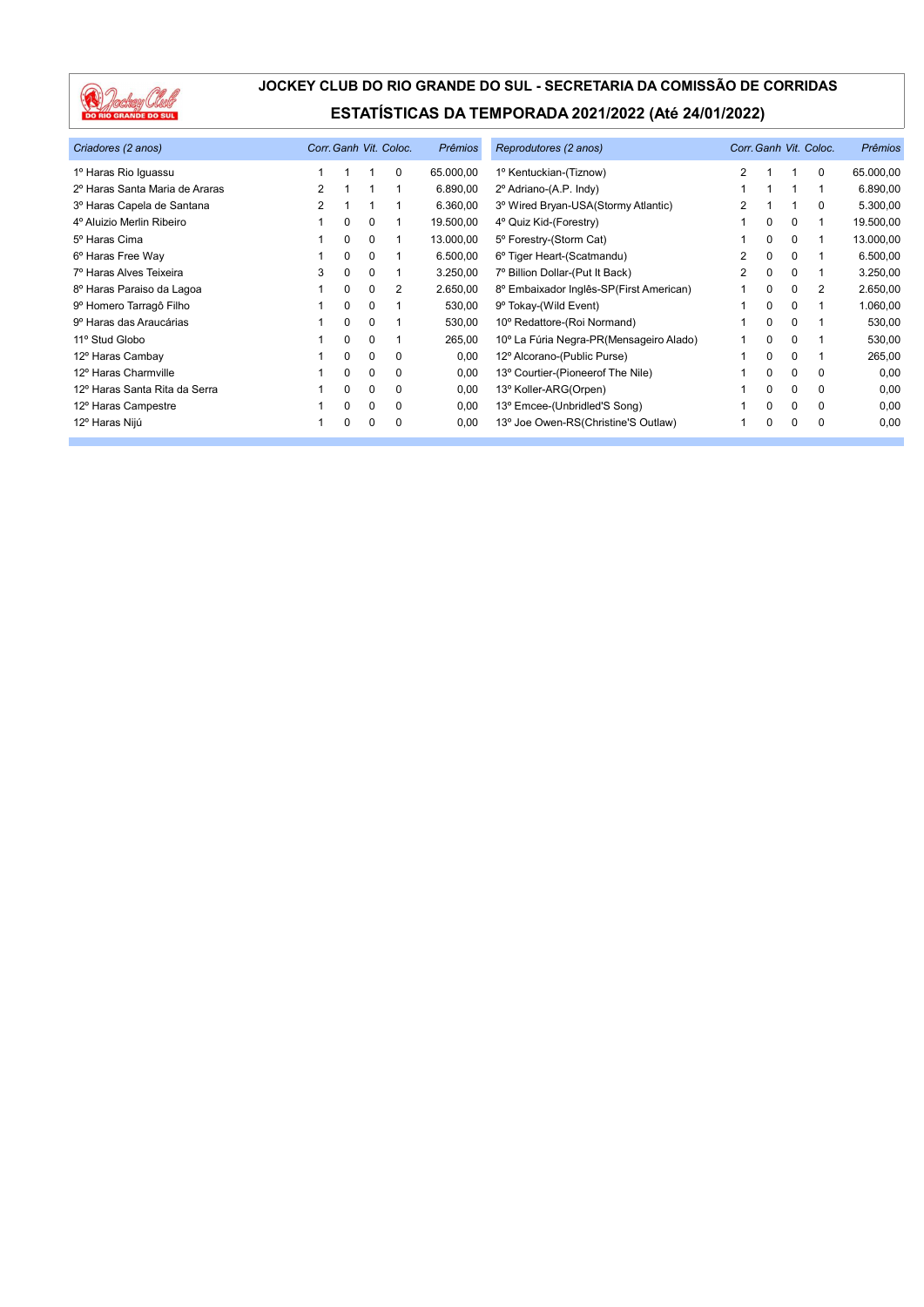

| Criadores (2 anos)             |   |          |             | Corr. Ganh Vit. Coloc. | <b>Prêmios</b> | Reprodutores (2 anos)                   |   |          |          | Corr. Ganh Vit. Coloc. | <b>Prêmios</b> |
|--------------------------------|---|----------|-------------|------------------------|----------------|-----------------------------------------|---|----------|----------|------------------------|----------------|
| 1º Haras Rio Iguassu           |   |          |             | 0                      | 65.000,00      | 1º Kentuckian-(Tiznow)                  | 2 |          |          | $\Omega$               | 65.000,00      |
| 2º Haras Santa Maria de Araras | 2 |          |             |                        | 6.890,00       | 2º Adriano-(A.P. Indy)                  |   |          |          |                        | 6.890,00       |
| 3º Haras Capela de Santana     | 2 |          |             |                        | 6.360,00       | 3º Wired Bryan-USA(Stormy Atlantic)     |   |          |          | $\Omega$               | 5.300,00       |
| 4º Aluizio Merlin Ribeiro      |   | $\Omega$ | 0           |                        | 19.500,00      | 4° Quiz Kid-(Forestry)                  |   | 0        | 0        |                        | 19.500,00      |
| 5º Haras Cima                  |   | 0        | 0           |                        | 13.000,00      | 5° Forestry-(Storm Cat)                 |   | 0        | $\Omega$ |                        | 13.000,00      |
| 6º Haras Free Way              |   | $\Omega$ | 0           |                        | 6.500,00       | 6° Tiger Heart-(Scatmandu)              | 2 | $\Omega$ | $\Omega$ |                        | 6.500,00       |
| 7º Haras Alves Teixeira        | 3 | $\Omega$ | 0           |                        | 3.250,00       | 7º Billion Dollar-(Put It Back)         | 2 | 0        | $\Omega$ |                        | 3.250,00       |
| 8º Haras Paraiso da Lagoa      |   | $\Omega$ | 0           | 2                      | 2.650,00       | 8º Embaixador Inglês-SP(First American) |   | 0        | $\Omega$ | 2                      | 2.650,00       |
| 9º Homero Tarragô Filho        |   | $\Omega$ | 0           |                        | 530,00         | 9° Tokay-(Wild Event)                   |   | 0        | $\Omega$ |                        | 1.060,00       |
| 9º Haras das Araucárias        |   | $\Omega$ | 0           |                        | 530,00         | 10° Redattore-(Roi Normand)             |   | 0        | $\Omega$ |                        | 530,00         |
| 11º Stud Globo                 |   | $\Omega$ | 0           |                        | 265,00         | 10° La Fúria Negra-PR(Mensageiro Alado) |   | 0        | $\Omega$ |                        | 530,00         |
| 12º Haras Cambay               |   | 0        | 0           | 0                      | 0,00           | 12º Alcorano-(Public Purse)             |   | 0        | $\Omega$ |                        | 265,00         |
| 12º Haras Charmville           |   | 0        | 0           | $\Omega$               | 0,00           | 13° Courtier-(Pioneerof The Nile)       |   | 0        | $\Omega$ | $\Omega$               | 0,00           |
| 12º Haras Santa Rita da Serra  |   | $\Omega$ | $\Omega$    | $\Omega$               | 0,00           | 13° Koller-ARG(Orpen)                   |   | 0        | $\Omega$ | $\Omega$               | 0,00           |
| 12º Haras Campestre            |   | 0        | $\mathbf 0$ | $\Omega$               | 0,00           | 13° Emcee-(Unbridled'S Song)            |   | 0        | $\Omega$ | $\Omega$               | 0,00           |
| 12º Haras Nijú                 |   | 0        | 0           | 0                      | 0,00           | 13° Joe Owen-RS(Christine'S Outlaw)     |   | 0        | $\Omega$ | $\Omega$               | 0,00           |